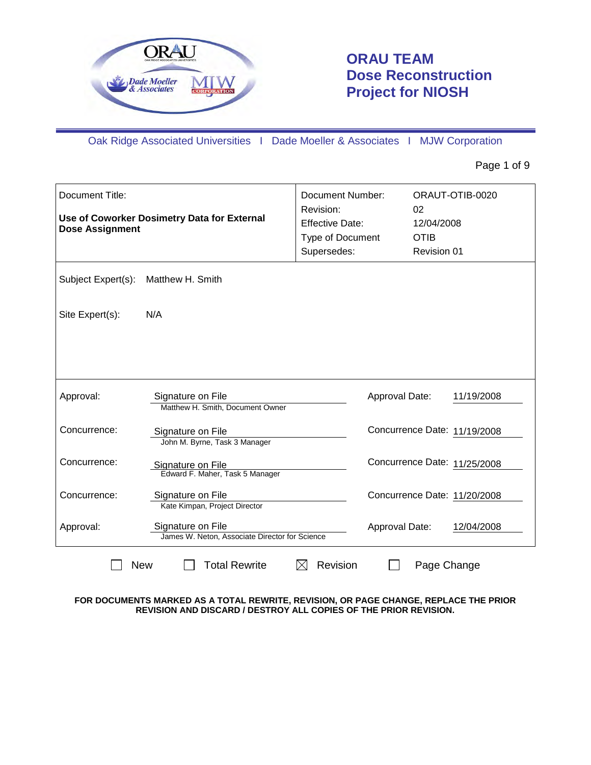

# **ORAU TEAM Dose Reconstruction Project for NIOSH**

Oak Ridge Associated Universities I Dade Moeller & Associates I MJW Corporation

Page 1 of 9

| Document Title:<br>Use of Coworker Dosimetry Data for External<br><b>Dose Assignment</b> |                                                                     | <b>Document Number:</b><br>Revision:<br><b>Effective Date:</b><br>Type of Document<br>Supersedes: | 02<br>12/04/2008<br><b>OTIB</b><br>Revision 01 | ORAUT-OTIB-0020 |
|------------------------------------------------------------------------------------------|---------------------------------------------------------------------|---------------------------------------------------------------------------------------------------|------------------------------------------------|-----------------|
| Subject Expert(s):                                                                       | Matthew H. Smith                                                    |                                                                                                   |                                                |                 |
| Site Expert(s):                                                                          | N/A                                                                 |                                                                                                   |                                                |                 |
|                                                                                          |                                                                     |                                                                                                   |                                                |                 |
| Approval:                                                                                | Signature on File<br>Matthew H. Smith, Document Owner               |                                                                                                   | Approval Date:                                 | 11/19/2008      |
| Concurrence:                                                                             | Signature on File<br>John M. Byrne, Task 3 Manager                  |                                                                                                   | Concurrence Date: 11/19/2008                   |                 |
| Concurrence:                                                                             | Signature on File<br>Edward F. Maher, Task 5 Manager                |                                                                                                   | Concurrence Date: 11/25/2008                   |                 |
| Concurrence:                                                                             | Signature on File<br>Kate Kimpan, Project Director                  |                                                                                                   | Concurrence Date: 11/20/2008                   |                 |
| Approval:                                                                                | Signature on File<br>James W. Neton, Associate Director for Science |                                                                                                   | Approval Date:                                 | 12/04/2008      |
| <b>New</b>                                                                               | <b>Total Rewrite</b>                                                | Revision<br>$\times$                                                                              | Page Change                                    |                 |

**FOR DOCUMENTS MARKED AS A TOTAL REWRITE, REVISION, OR PAGE CHANGE, REPLACE THE PRIOR REVISION AND DISCARD / DESTROY ALL COPIES OF THE PRIOR REVISION.**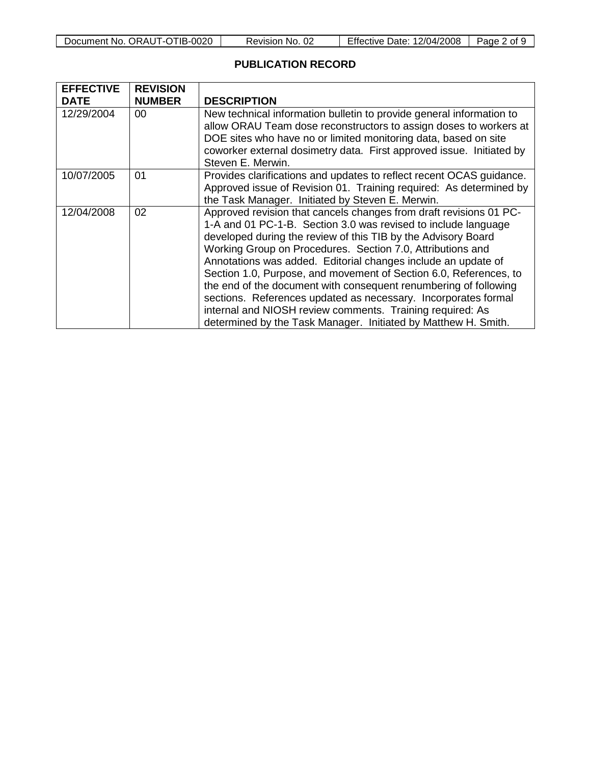|  | Document No. ORAUT-OTIB-0020 |
|--|------------------------------|
|--|------------------------------|

Revision No. 02 | Effective Date: 12/04/2008 | Page 2 of 9

## **PUBLICATION RECORD**

| <b>EFFECTIVE</b><br><b>DATE</b> | <b>REVISION</b><br><b>NUMBER</b> | <b>DESCRIPTION</b>                                                                                                                                                                                                                                                                                                                                                                                                                                                                                                                                                                                                                                                             |
|---------------------------------|----------------------------------|--------------------------------------------------------------------------------------------------------------------------------------------------------------------------------------------------------------------------------------------------------------------------------------------------------------------------------------------------------------------------------------------------------------------------------------------------------------------------------------------------------------------------------------------------------------------------------------------------------------------------------------------------------------------------------|
| 12/29/2004                      | 00                               | New technical information bulletin to provide general information to<br>allow ORAU Team dose reconstructors to assign doses to workers at<br>DOE sites who have no or limited monitoring data, based on site<br>coworker external dosimetry data. First approved issue. Initiated by<br>Steven E. Merwin.                                                                                                                                                                                                                                                                                                                                                                      |
| 10/07/2005                      | 01                               | Provides clarifications and updates to reflect recent OCAS guidance.<br>Approved issue of Revision 01. Training required: As determined by<br>the Task Manager. Initiated by Steven E. Merwin.                                                                                                                                                                                                                                                                                                                                                                                                                                                                                 |
| 12/04/2008                      | 02                               | Approved revision that cancels changes from draft revisions 01 PC-<br>1-A and 01 PC-1-B. Section 3.0 was revised to include language<br>developed during the review of this TIB by the Advisory Board<br>Working Group on Procedures. Section 7.0, Attributions and<br>Annotations was added. Editorial changes include an update of<br>Section 1.0, Purpose, and movement of Section 6.0, References, to<br>the end of the document with consequent renumbering of following<br>sections. References updated as necessary. Incorporates formal<br>internal and NIOSH review comments. Training required: As<br>determined by the Task Manager. Initiated by Matthew H. Smith. |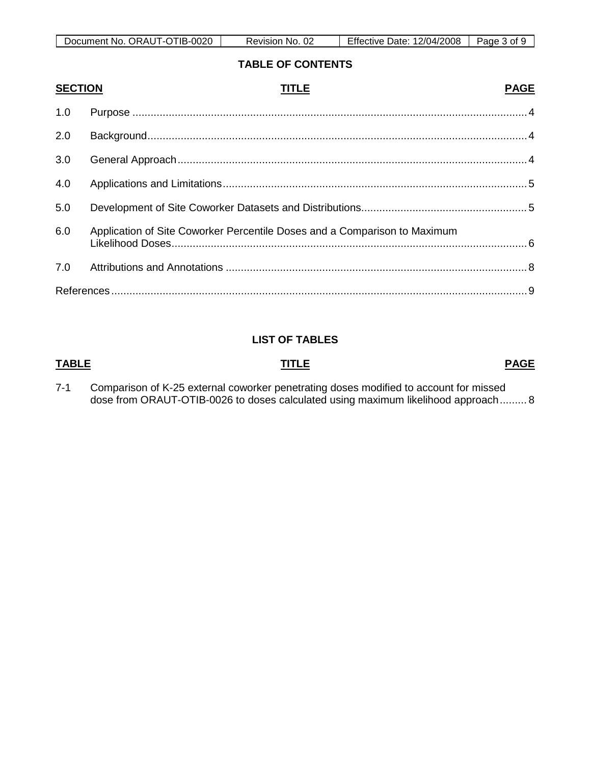| ORAU<br>0020<br>')ocument⊹<br>. IR.<br>`No.<br>- 112 | ∩r<br>No.<br>Revision<br>∪∠ | $- \cdot \cdot$<br>12/04/2008<br>Date<br>:ttective | 'age<br>വ <del>പ</del> |
|------------------------------------------------------|-----------------------------|----------------------------------------------------|------------------------|

### **TABLE OF CONTENTS**

| <b>SECTION</b> | TITLE                                                                     | <b>PAGE</b> |
|----------------|---------------------------------------------------------------------------|-------------|
| 1.0            |                                                                           |             |
| 2.0            |                                                                           |             |
| 3.0            |                                                                           |             |
| 4.0            |                                                                           |             |
| 5.0            |                                                                           |             |
| 6.0            | Application of Site Coworker Percentile Doses and a Comparison to Maximum |             |
| 7.0            |                                                                           |             |
|                |                                                                           |             |

### **LIST OF TABLES**

### **TABLE TITLE**

**PAGE**

7-1 Comparison of K-25 external coworker penetrating doses modified to account for missed dose from ORAUT-OTIB-0026 to doses calculated using maximum likelihood approach......... 8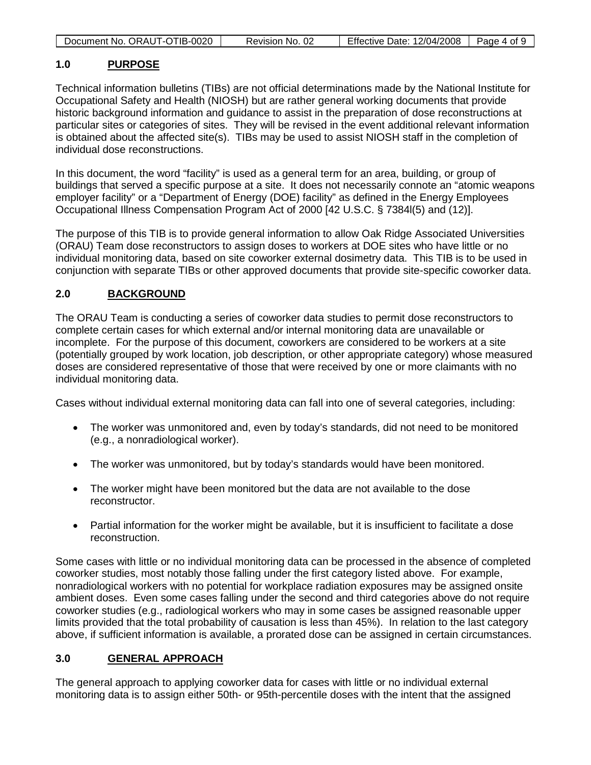| Document No. ORAUT-OTIB-0020 | Revision No. 02 | Effective Date: 12/04/2008   I | Page 4 of 9 |
|------------------------------|-----------------|--------------------------------|-------------|

#### **1.0 PURPOSE**

Technical information bulletins (TIBs) are not official determinations made by the National Institute for Occupational Safety and Health (NIOSH) but are rather general working documents that provide historic background information and guidance to assist in the preparation of dose reconstructions at particular sites or categories of sites. They will be revised in the event additional relevant information is obtained about the affected site(s). TIBs may be used to assist NIOSH staff in the completion of individual dose reconstructions.

In this document, the word "facility" is used as a general term for an area, building, or group of buildings that served a specific purpose at a site. It does not necessarily connote an "atomic weapons employer facility" or a "Department of Energy (DOE) facility" as defined in the Energy Employees Occupational Illness Compensation Program Act of 2000 [42 U.S.C. § 7384l(5) and (12)].

The purpose of this TIB is to provide general information to allow Oak Ridge Associated Universities (ORAU) Team dose reconstructors to assign doses to workers at DOE sites who have little or no individual monitoring data, based on site coworker external dosimetry data. This TIB is to be used in conjunction with separate TIBs or other approved documents that provide site-specific coworker data.

#### **2.0 BACKGROUND**

The ORAU Team is conducting a series of coworker data studies to permit dose reconstructors to complete certain cases for which external and/or internal monitoring data are unavailable or incomplete. For the purpose of this document, coworkers are considered to be workers at a site (potentially grouped by work location, job description, or other appropriate category) whose measured doses are considered representative of those that were received by one or more claimants with no individual monitoring data.

Cases without individual external monitoring data can fall into one of several categories, including:

- The worker was unmonitored and, even by today's standards, did not need to be monitored (e.g., a nonradiological worker).
- The worker was unmonitored, but by today's standards would have been monitored.
- The worker might have been monitored but the data are not available to the dose reconstructor.
- Partial information for the worker might be available, but it is insufficient to facilitate a dose reconstruction.

Some cases with little or no individual monitoring data can be processed in the absence of completed coworker studies, most notably those falling under the first category listed above. For example, nonradiological workers with no potential for workplace radiation exposures may be assigned onsite ambient doses. Even some cases falling under the second and third categories above do not require coworker studies (e.g., radiological workers who may in some cases be assigned reasonable upper limits provided that the total probability of causation is less than 45%). In relation to the last category above, if sufficient information is available, a prorated dose can be assigned in certain circumstances.

#### **3.0 GENERAL APPROACH**

The general approach to applying coworker data for cases with little or no individual external monitoring data is to assign either 50th- or 95th-percentile doses with the intent that the assigned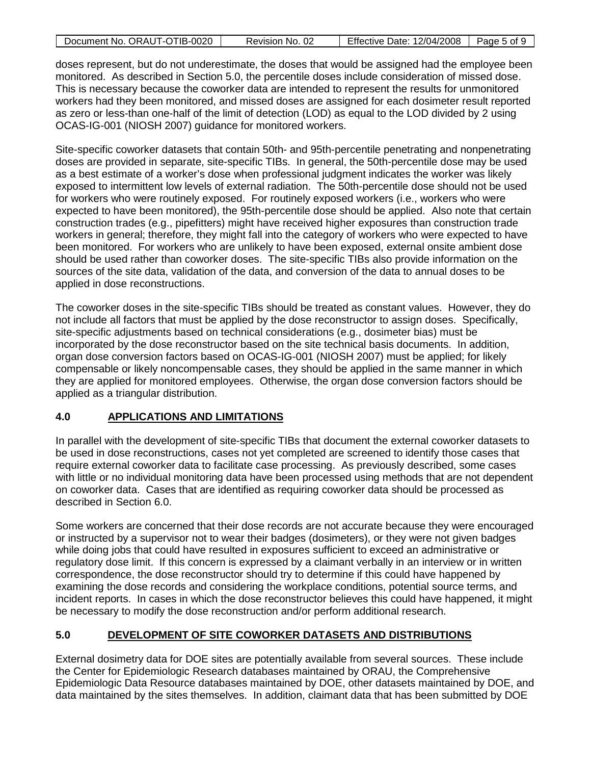| Document No. ORAUT-OTIB-0020 | Revision No. 02 | Effective Date: 12/04/2008 | Page 5 of 9 |
|------------------------------|-----------------|----------------------------|-------------|

doses represent, but do not underestimate, the doses that would be assigned had the employee been monitored. As described in Section 5.0, the percentile doses include consideration of missed dose. This is necessary because the coworker data are intended to represent the results for unmonitored workers had they been monitored, and missed doses are assigned for each dosimeter result reported as zero or less-than one-half of the limit of detection (LOD) as equal to the LOD divided by 2 using OCAS-IG-001 (NIOSH 2007) guidance for monitored workers.

Site-specific coworker datasets that contain 50th- and 95th-percentile penetrating and nonpenetrating doses are provided in separate, site-specific TIBs. In general, the 50th-percentile dose may be used as a best estimate of a worker's dose when professional judgment indicates the worker was likely exposed to intermittent low levels of external radiation. The 50th-percentile dose should not be used for workers who were routinely exposed. For routinely exposed workers (i.e., workers who were expected to have been monitored), the 95th-percentile dose should be applied. Also note that certain construction trades (e.g., pipefitters) might have received higher exposures than construction trade workers in general; therefore, they might fall into the category of workers who were expected to have been monitored. For workers who are unlikely to have been exposed, external onsite ambient dose should be used rather than coworker doses. The site-specific TIBs also provide information on the sources of the site data, validation of the data, and conversion of the data to annual doses to be applied in dose reconstructions.

The coworker doses in the site-specific TIBs should be treated as constant values. However, they do not include all factors that must be applied by the dose reconstructor to assign doses. Specifically, site-specific adjustments based on technical considerations (e.g., dosimeter bias) must be incorporated by the dose reconstructor based on the site technical basis documents. In addition, organ dose conversion factors based on OCAS-IG-001 (NIOSH 2007) must be applied; for likely compensable or likely noncompensable cases, they should be applied in the same manner in which they are applied for monitored employees. Otherwise, the organ dose conversion factors should be applied as a triangular distribution.

#### **4.0 APPLICATIONS AND LIMITATIONS**

In parallel with the development of site-specific TIBs that document the external coworker datasets to be used in dose reconstructions, cases not yet completed are screened to identify those cases that require external coworker data to facilitate case processing. As previously described, some cases with little or no individual monitoring data have been processed using methods that are not dependent on coworker data. Cases that are identified as requiring coworker data should be processed as described in Section 6.0.

Some workers are concerned that their dose records are not accurate because they were encouraged or instructed by a supervisor not to wear their badges (dosimeters), or they were not given badges while doing jobs that could have resulted in exposures sufficient to exceed an administrative or regulatory dose limit. If this concern is expressed by a claimant verbally in an interview or in written correspondence, the dose reconstructor should try to determine if this could have happened by examining the dose records and considering the workplace conditions, potential source terms, and incident reports. In cases in which the dose reconstructor believes this could have happened, it might be necessary to modify the dose reconstruction and/or perform additional research.

#### **5.0 DEVELOPMENT OF SITE COWORKER DATASETS AND DISTRIBUTIONS**

External dosimetry data for DOE sites are potentially available from several sources. These include the Center for Epidemiologic Research databases maintained by ORAU, the Comprehensive Epidemiologic Data Resource databases maintained by DOE, other datasets maintained by DOE, and data maintained by the sites themselves. In addition, claimant data that has been submitted by DOE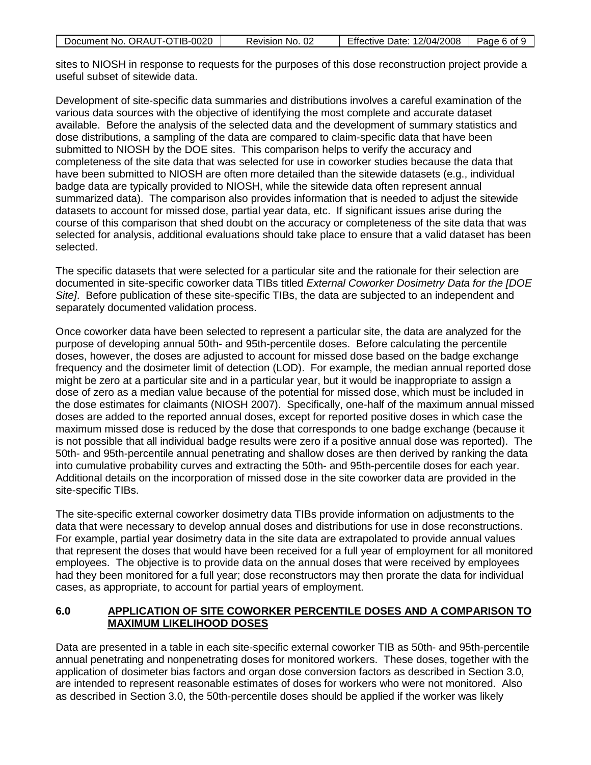| Document No. ORAUT-OTIB-0020 | Revision No. 02 | <b>Effective Date: 12/04/2008</b> | Page 6 of 9 |
|------------------------------|-----------------|-----------------------------------|-------------|
|                              |                 |                                   |             |

sites to NIOSH in response to requests for the purposes of this dose reconstruction project provide a useful subset of sitewide data.

Development of site-specific data summaries and distributions involves a careful examination of the various data sources with the objective of identifying the most complete and accurate dataset available. Before the analysis of the selected data and the development of summary statistics and dose distributions, a sampling of the data are compared to claim-specific data that have been submitted to NIOSH by the DOE sites. This comparison helps to verify the accuracy and completeness of the site data that was selected for use in coworker studies because the data that have been submitted to NIOSH are often more detailed than the sitewide datasets (e.g., individual badge data are typically provided to NIOSH, while the sitewide data often represent annual summarized data). The comparison also provides information that is needed to adjust the sitewide datasets to account for missed dose, partial year data, etc. If significant issues arise during the course of this comparison that shed doubt on the accuracy or completeness of the site data that was selected for analysis, additional evaluations should take place to ensure that a valid dataset has been selected.

The specific datasets that were selected for a particular site and the rationale for their selection are documented in site-specific coworker data TIBs titled *External Coworker Dosimetry Data for the [DOE Site]*. Before publication of these site-specific TIBs, the data are subjected to an independent and separately documented validation process.

Once coworker data have been selected to represent a particular site, the data are analyzed for the purpose of developing annual 50th- and 95th-percentile doses. Before calculating the percentile doses, however, the doses are adjusted to account for missed dose based on the badge exchange frequency and the dosimeter limit of detection (LOD). For example, the median annual reported dose might be zero at a particular site and in a particular year, but it would be inappropriate to assign a dose of zero as a median value because of the potential for missed dose, which must be included in the dose estimates for claimants (NIOSH 2007). Specifically, one-half of the maximum annual missed doses are added to the reported annual doses, except for reported positive doses in which case the maximum missed dose is reduced by the dose that corresponds to one badge exchange (because it is not possible that all individual badge results were zero if a positive annual dose was reported). The 50th- and 95th-percentile annual penetrating and shallow doses are then derived by ranking the data into cumulative probability curves and extracting the 50th- and 95th-percentile doses for each year. Additional details on the incorporation of missed dose in the site coworker data are provided in the site-specific TIBs.

The site-specific external coworker dosimetry data TIBs provide information on adjustments to the data that were necessary to develop annual doses and distributions for use in dose reconstructions. For example, partial year dosimetry data in the site data are extrapolated to provide annual values that represent the doses that would have been received for a full year of employment for all monitored employees. The objective is to provide data on the annual doses that were received by employees had they been monitored for a full year; dose reconstructors may then prorate the data for individual cases, as appropriate, to account for partial years of employment.

### **6.0 APPLICATION OF SITE COWORKER PERCENTILE DOSES AND A COMPARISON TO MAXIMUM LIKELIHOOD DOSES**

Data are presented in a table in each site-specific external coworker TIB as 50th- and 95th-percentile annual penetrating and nonpenetrating doses for monitored workers. These doses, together with the application of dosimeter bias factors and organ dose conversion factors as described in Section 3.0, are intended to represent reasonable estimates of doses for workers who were not monitored. Also as described in Section 3.0, the 50th-percentile doses should be applied if the worker was likely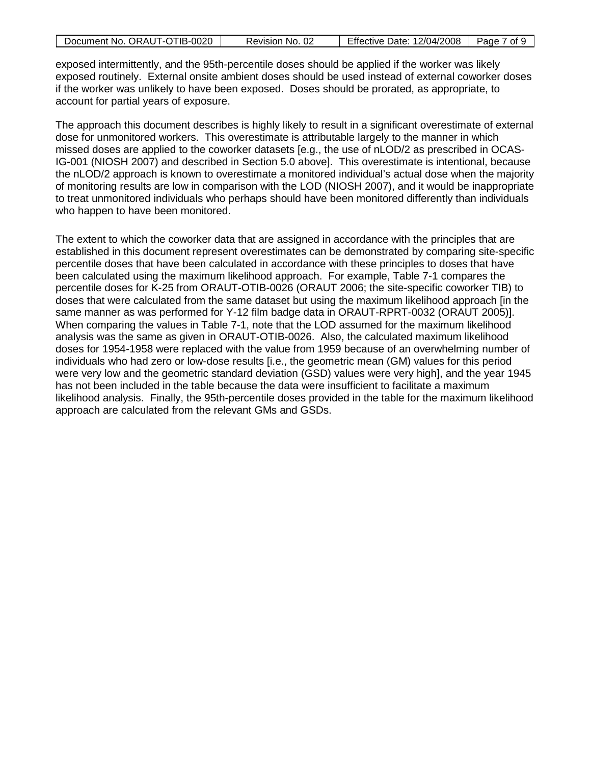| Document No. ORAUT-OTIB-0020 | Revision No. 02 | Effective Date: 12/04/2008 | Page 7 of 9 |
|------------------------------|-----------------|----------------------------|-------------|
|                              |                 |                            |             |

exposed intermittently, and the 95th-percentile doses should be applied if the worker was likely exposed routinely. External onsite ambient doses should be used instead of external coworker doses if the worker was unlikely to have been exposed. Doses should be prorated, as appropriate, to account for partial years of exposure.

The approach this document describes is highly likely to result in a significant overestimate of external dose for unmonitored workers. This overestimate is attributable largely to the manner in which missed doses are applied to the coworker datasets [e.g., the use of nLOD/2 as prescribed in OCAS-IG-001 (NIOSH 2007) and described in Section 5.0 above]. This overestimate is intentional, because the nLOD/2 approach is known to overestimate a monitored individual's actual dose when the majority of monitoring results are low in comparison with the LOD (NIOSH 2007), and it would be inappropriate to treat unmonitored individuals who perhaps should have been monitored differently than individuals who happen to have been monitored.

The extent to which the coworker data that are assigned in accordance with the principles that are established in this document represent overestimates can be demonstrated by comparing site-specific percentile doses that have been calculated in accordance with these principles to doses that have been calculated using the maximum likelihood approach. For example, Table 7-1 compares the percentile doses for K-25 from ORAUT-OTIB-0026 (ORAUT 2006; the site-specific coworker TIB) to doses that were calculated from the same dataset but using the maximum likelihood approach [in the same manner as was performed for Y-12 film badge data in ORAUT-RPRT-0032 (ORAUT 2005)]. When comparing the values in Table 7-1, note that the LOD assumed for the maximum likelihood analysis was the same as given in ORAUT-OTIB-0026. Also, the calculated maximum likelihood doses for 1954-1958 were replaced with the value from 1959 because of an overwhelming number of individuals who had zero or low-dose results [i.e., the geometric mean (GM) values for this period were very low and the geometric standard deviation (GSD) values were very high], and the year 1945 has not been included in the table because the data were insufficient to facilitate a maximum likelihood analysis. Finally, the 95th-percentile doses provided in the table for the maximum likelihood approach are calculated from the relevant GMs and GSDs.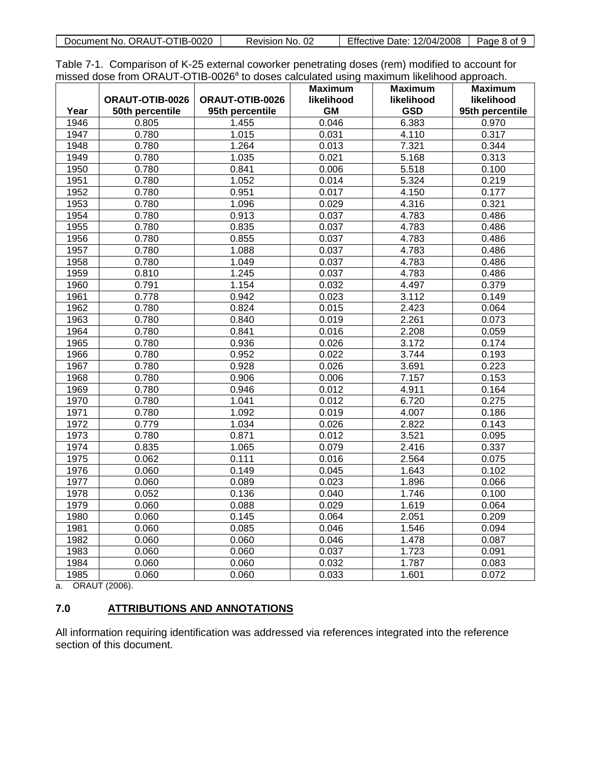| Document No. ORAUT-OTIB-0020 | Revision No. 02 | <b>Effective Date: 12/04/2008</b> | Page 8 of 9 |
|------------------------------|-----------------|-----------------------------------|-------------|

Table 7-1. Comparison of K-25 external coworker penetrating doses (rem) modified to account for missed dose from ORAUT-OTIB-0026<sup>ª</sup> to doses calculated using maximum likelihood approach.

|      |                 |                 | <b>Maximum</b> | <b>Maximum</b> | <b>Maximum</b>  |
|------|-----------------|-----------------|----------------|----------------|-----------------|
|      | ORAUT-OTIB-0026 | ORAUT-OTIB-0026 | likelihood     | likelihood     | likelihood      |
| Year | 50th percentile | 95th percentile | <b>GM</b>      | <b>GSD</b>     | 95th percentile |
| 1946 | 0.805           | 1.455           | 0.046          | 6.383          | 0.970           |
| 1947 | 0.780           | 1.015           | 0.031          | 4.110          | 0.317           |
| 1948 | 0.780           | 1.264           | 0.013          | 7.321          | 0.344           |
| 1949 | 0.780           | 1.035           | 0.021          | 5.168          | 0.313           |
| 1950 | 0.780           | 0.841           | 0.006          | 5.518          | 0.100           |
| 1951 | 0.780           | 1.052           | 0.014          | 5.324          | 0.219           |
| 1952 | 0.780           | 0.951           | 0.017          | 4.150          | 0.177           |
| 1953 | 0.780           | 1.096           | 0.029          | 4.316          | 0.321           |
| 1954 | 0.780           | 0.913           | 0.037          | 4.783          | 0.486           |
| 1955 | 0.780           | 0.835           | 0.037          | 4.783          | 0.486           |
| 1956 | 0.780           | 0.855           | 0.037          | 4.783          | 0.486           |
| 1957 | 0.780           | 1.088           | 0.037          | 4.783          | 0.486           |
| 1958 | 0.780           | 1.049           | 0.037          | 4.783          | 0.486           |
| 1959 | 0.810           | 1.245           | 0.037          | 4.783          | 0.486           |
| 1960 | 0.791           | 1.154           | 0.032          | 4.497          | 0.379           |
| 1961 | 0.778           | 0.942           | 0.023          | 3.112          | 0.149           |
| 1962 | 0.780           | 0.824           | 0.015          | 2.423          | 0.064           |
| 1963 | 0.780           | 0.840           | 0.019          | 2.261          | 0.073           |
| 1964 | 0.780           | 0.841           | 0.016          | 2.208          | 0.059           |
| 1965 | 0.780           | 0.936           | 0.026          | 3.172          | 0.174           |
| 1966 | 0.780           | 0.952           | 0.022          | 3.744          | 0.193           |
| 1967 | 0.780           | 0.928           | 0.026          | 3.691          | 0.223           |
| 1968 | 0.780           | 0.906           | 0.006          | 7.157          | 0.153           |
| 1969 | 0.780           | 0.946           | 0.012          | 4.911          | 0.164           |
| 1970 | 0.780           | 1.041           | 0.012          | 6.720          | 0.275           |
| 1971 | 0.780           | 1.092           | 0.019          | 4.007          | 0.186           |
| 1972 | 0.779           | 1.034           | 0.026          | 2.822          | 0.143           |
| 1973 | 0.780           | 0.871           | 0.012          | 3.521          | 0.095           |
| 1974 | 0.835           | 1.065           | 0.079          | 2.416          | 0.337           |
| 1975 | 0.062           | 0.111           | 0.016          | 2.564          | 0.075           |
| 1976 | 0.060           | 0.149           | 0.045          | 1.643          | 0.102           |
| 1977 | 0.060           | 0.089           | 0.023          | 1.896          | 0.066           |
| 1978 | 0.052           | 0.136           | 0.040          | 1.746          | 0.100           |
| 1979 | 0.060           | 0.088           | 0.029          | 1.619          | 0.064           |
| 1980 | 0.060           | 0.145           | 0.064          | 2.051          | 0.209           |
| 1981 | 0.060           | 0.085           | 0.046          | 1.546          | 0.094           |
| 1982 | 0.060           | 0.060           | 0.046          | 1.478          | 0.087           |
| 1983 | 0.060           | 0.060           | 0.037          | 1.723          | 0.091           |
| 1984 | 0.060           | 0.060           | 0.032          | 1.787          | 0.083           |
| 1985 | 0.060           | 0.060           | 0.033          | 1.601          | 0.072           |

a. ORAUT (2006).

#### **7.0 ATTRIBUTIONS AND ANNOTATIONS**

All information requiring identification was addressed via references integrated into the reference section of this document.